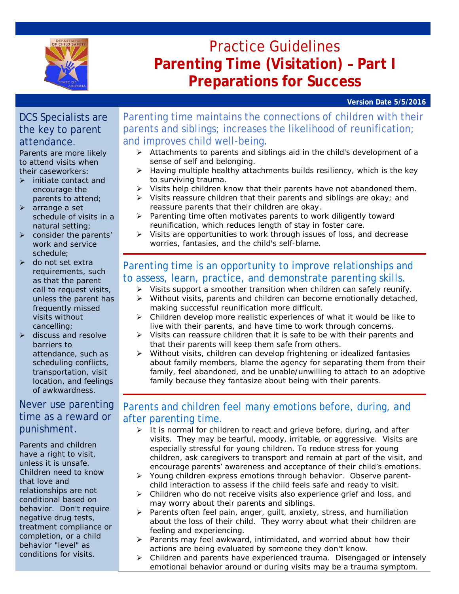

# Practice Guidelines **Parenting Time (Visitation) – Part I Preparations for Success**

**Version Date 5/5/2016**

### DCS Specialists are the key to parent attendance.

Parents are more likely to attend visits when their caseworkers:

- $\triangleright$  initiate contact and encourage the parents to attend;
- $\triangleright$  arrange a set schedule of visits in a natural setting;
- $\triangleright$  consider the parents' work and service schedule;
- $\triangleright$  do not set extra requirements, such as that the parent call to request visits, unless the parent has frequently missed visits without cancelling;
- $\triangleright$  discuss and resolve barriers to attendance, such as scheduling conflicts, transportation, visit location, and feelings of awkwardness.

### Never use parenting time as a reward or punishment.

Parents and children have a right to visit, unless it is unsafe. Children need to know that love and relationships are not conditional based on behavior. Don't require negative drug tests, treatment compliance or completion, or a child behavior "level" as conditions for visits.

Parenting time maintains the connections of children with their parents and siblings; increases the likelihood of reunification; and improves child well-being.

- Attachments to parents and siblings aid in the child's development of a sense of self and belonging.
- $\triangleright$  Having multiple healthy attachments builds resiliency, which is the key to surviving trauma.
- $\triangleright$  Visits help children know that their parents have not abandoned them.
- $\triangleright$  Visits reassure children that their parents and siblings are okay; and reassure parents that their children are okay.
- $\triangleright$  Parenting time often motivates parents to work diligently toward reunification, which reduces length of stay in foster care.
- $\triangleright$  Visits are opportunities to work through issues of loss, and decrease worries, fantasies, and the child's self-blame.

# Parenting time is an opportunity to improve relationships and to assess, learn, practice, and demonstrate parenting skills.

- $\triangleright$  Visits support a smoother transition when children can safely reunify.
- $\triangleright$  Without visits, parents and children can become emotionally detached, making successful reunification more difficult.
- $\triangleright$  Children develop more realistic experiences of what it would be like to live with their parents, and have time to work through concerns.
- $\triangleright$  Visits can reassure children that it is safe to be with their parents and that their parents will keep them safe from others.
- $\triangleright$  Without visits, children can develop frightening or idealized fantasies about family members, blame the agency for separating them from their family, feel abandoned, and be unable/unwilling to attach to an adoptive family because they fantasize about being with their parents.

### Parents and children feel many emotions before, during, and after parenting time.

- $\triangleright$  It is normal for children to react and grieve before, during, and after visits. They may be tearful, moody, irritable, or aggressive. Visits are especially stressful for young children. To reduce stress for young children, ask caregivers to transport and remain at part of the visit, and encourage parents' awareness and acceptance of their child's emotions.
- Young children express emotions through behavior. Observe parentchild interaction to assess if the child feels safe and ready to visit.
- $\triangleright$  Children who do not receive visits also experience grief and loss, and may worry about their parents and siblings.
- $\triangleright$  Parents often feel pain, anger, quilt, anxiety, stress, and humiliation about the loss of their child. They worry about what their children are feeling and experiencing.
- $\triangleright$  Parents may feel awkward, intimidated, and worried about how their actions are being evaluated by someone they don't know.
- $\triangleright$  Children and parents have experienced trauma. Disengaged or intensely emotional behavior around or during visits may be a trauma symptom.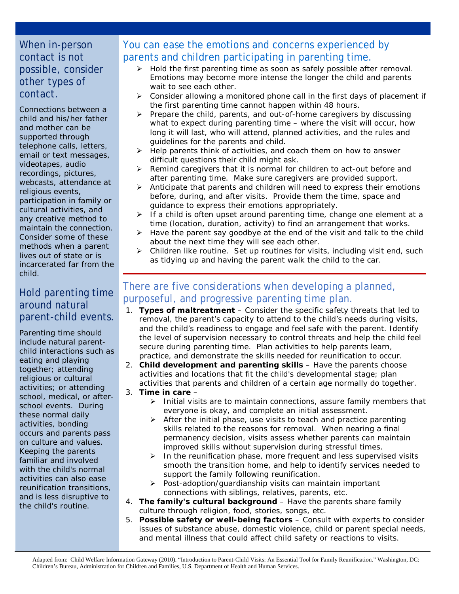### When in-person contact is not possible, consider other types of contact.

Connections between a child and his/her father and mother can be supported through telephone calls, letters, email or text messages, videotapes, audio recordings, pictures, webcasts, attendance at religious events, participation in family or cultural activities, and any creative method to maintain the connection. Consider some of these methods when a parent lives out of state or is incarcerated far from the child.

### Hold parenting time around natural parent-child events.

Parenting time should include natural parentchild interactions such as eating and playing together; attending religious or cultural activities; or attending school, medical, or afterschool events. During these normal daily activities, bonding occurs and parents pass on culture and values. Keeping the parents familiar and involved with the child's normal activities can also ease reunification transitions, and is less disruptive to the child's routine.

# You can ease the emotions and concerns experienced by parents and children participating in parenting time.

- $\triangleright$  Hold the first parenting time as soon as safely possible after removal. Emotions may become more intense the longer the child and parents wait to see each other.
- $\triangleright$  Consider allowing a monitored phone call in the first days of placement if the first parenting time cannot happen within 48 hours.
- $\triangleright$  Prepare the child, parents, and out-of-home caregivers by discussing what to expect during parenting time – where the visit will occur, how long it will last, who will attend, planned activities, and the rules and guidelines for the parents and child.
- $\triangleright$  Help parents think of activities, and coach them on how to answer difficult questions their child might ask.
- $\triangleright$  Remind caregivers that it is normal for children to act-out before and after parenting time. Make sure caregivers are provided support.
- $\triangleright$  Anticipate that parents and children will need to express their emotions before, during, and after visits. Provide them the time, space and guidance to express their emotions appropriately.
- $\triangleright$  If a child is often upset around parenting time, change one element at a time (location, duration, activity) to find an arrangement that works.
- $\triangleright$  Have the parent say goodbye at the end of the visit and talk to the child about the next time they will see each other.
- $\triangleright$  Children like routine. Set up routines for visits, including visit end, such as tidying up and having the parent walk the child to the car.

# There are five considerations when developing a planned, purposeful, and progressive parenting time plan.

- 1. **Types of maltreatment** Consider the specific safety threats that led to removal, the parent's capacity to attend to the child's needs during visits, and the child's readiness to engage and feel safe with the parent. Identify the level of supervision necessary to control threats and help the child feel secure during parenting time. Plan activities to help parents learn, practice, and demonstrate the skills needed for reunification to occur.
- 2. **Child development and parenting skills** Have the parents choose activities and locations that fit the child's developmental stage; plan activities that parents and children of a certain age normally do together.
- 3. **Time in care**
	- $\triangleright$  Initial visits are to maintain connections, assure family members that everyone is okay, and complete an initial assessment.
	- $\triangleright$  After the initial phase, use visits to teach and practice parenting skills related to the reasons for removal. When nearing a final permanency decision, visits assess whether parents can maintain improved skills without supervision during stressful times.
	- $\triangleright$  In the reunification phase, more frequent and less supervised visits smooth the transition home, and help to identify services needed to support the family following reunification.
	- $\triangleright$  Post-adoption/quardianship visits can maintain important connections with siblings, relatives, parents, etc.
- 4. **The family's cultural background** Have the parents share family culture through religion, food, stories, songs, etc.
- 5. **Possible safety or well-being factors** Consult with experts to consider issues of substance abuse, domestic violence, child or parent special needs, and mental illness that could affect child safety or reactions to visits.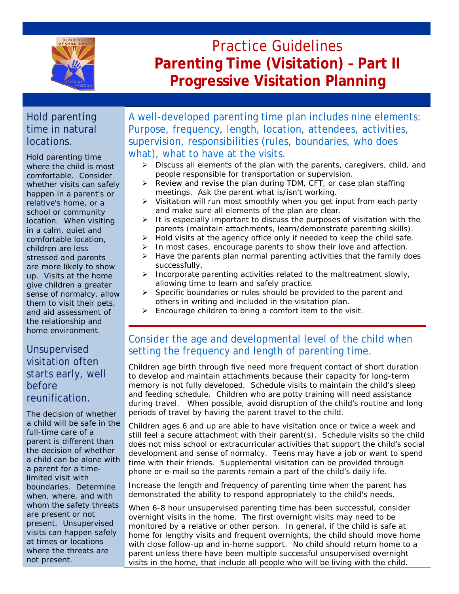

# Practice Guidelines **Parenting Time (Visitation) – Part II Progressive Visitation Planning**

# Hold parenting time in natural locations.

Hold parenting time where the child is most comfortable. Consider whether visits can safely happen in a parent's or relative's home, or a school or community location. When visiting in a calm, quiet and comfortable location, children are less stressed and parents are more likely to show up. Visits at the home give children a greater sense of normalcy, allow them to visit their pets, and aid assessment of the relationship and home environment.

# Unsupervised visitation often starts early, well before reunification.

The decision of whether a child will be safe in the full-time care of a parent is different than the decision of whether a child can be alone with a parent for a timelimited visit with boundaries. Determine when, where, and with whom the safety threats are present or not present. Unsupervised visits can happen safely at times or locations where the threats are not present.

A well-developed parenting time plan includes nine elements: Purpose, frequency, length, location, attendees, activities, supervision, responsibilities (rules, boundaries, who does what), what to have at the visits.

- $\triangleright$  Discuss all elements of the plan with the parents, caregivers, child, and people responsible for transportation or supervision.
- $\triangleright$  Review and revise the plan during TDM, CFT, or case plan staffing meetings. Ask the parent what is/isn't working.
- $\triangleright$  Visitation will run most smoothly when you get input from each party and make sure all elements of the plan are clear.
- $\triangleright$  It is especially important to discuss the purposes of visitation with the parents (maintain attachments, learn/demonstrate parenting skills).
- $\triangleright$  Hold visits at the agency office only if needed to keep the child safe.
- $\triangleright$  In most cases, encourage parents to show their love and affection.
- $\triangleright$  Have the parents plan normal parenting activities that the family does successfully.
- $\triangleright$  Incorporate parenting activities related to the maltreatment slowly, allowing time to learn and safely practice.
- $\triangleright$  Specific boundaries or rules should be provided to the parent and others in writing and included in the visitation plan.
- $\triangleright$  Encourage children to bring a comfort item to the visit.

# Consider the age and developmental level of the child when setting the frequency and length of parenting time.

Children age birth through five need more frequent contact of short duration to develop and maintain attachments because their capacity for long-term memory is not fully developed. Schedule visits to maintain the child's sleep and feeding schedule. Children who are potty training will need assistance during travel. When possible, avoid disruption of the child's routine and long periods of travel by having the parent travel to the child.

Children ages 6 and up are able to have visitation once or twice a week and still feel a secure attachment with their parent(s). Schedule visits so the child does not miss school or extracurricular activities that support the child's social development and sense of normalcy. Teens may have a job or want to spend time with their friends. Supplemental visitation can be provided through phone or e-mail so the parents remain a part of the child's daily life.

Increase the length and frequency of parenting time when the parent has demonstrated the ability to respond appropriately to the child's needs.

When 6-8 hour unsupervised parenting time has been successful, consider overnight visits in the home. The first overnight visits may need to be monitored by a relative or other person. In general, if the child is safe at home for lengthy visits and frequent overnights, the child should move home with close follow-up and in-home support. No child should return home to a parent unless there have been multiple successful unsupervised overnight visits in the home, that include all people who will be living with the child.